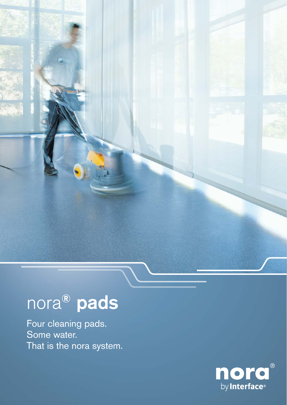## nora® pads

Four cleaning pads. Some water. That is the nora system.

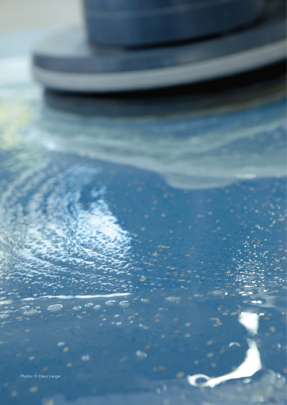Photos: © Claus Langer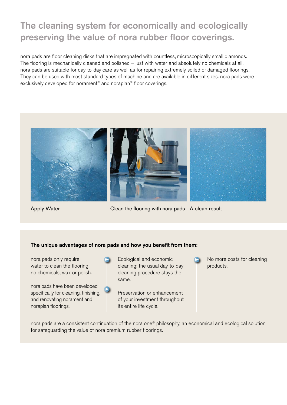## The cleaning system for economically and ecologically preserving the value of nora rubber floor coverings.

nora pads are floor cleaning disks that are impregnated with countless, microscopically small diamonds. The flooring is mechanically cleaned and polished – just with water and absolutely no chemicals at all. nora pads are suitable for day-to-day care as well as for repairing extremely soiled or damaged floorings. They can be used with most standard types of machine and are available in different sizes. nora pads were exclusively developed for norament® and noraplan® floor coverings.



Apply Water **Clean the flooring with nora pads** A clean result

### The unique advantages of nora pads and how you benefit from them:

nora pads only require water to clean the flooring: no chemicals, wax or polish.



Ecological and economic cleaning; the usual day-to-day cleaning procedure stays the same.

Preservation or enhancement of your investment throughout its entire life cycle.



No more costs for cleaning products.

nora pads are a consistent continuation of the nora one® philosophy, an economical and ecological solution for safeguarding the value of nora premium rubber floorings.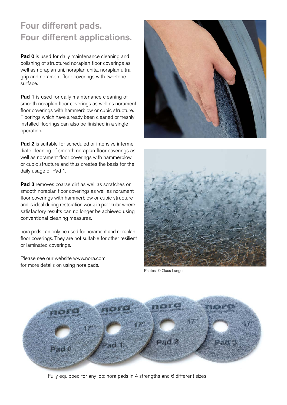## Four different pads. Four different applications.

Pad 0 is used for daily maintenance cleaning and polishing of structured noraplan floor coverings as well as noraplan uni, noraplan unita, noraplan ultra grip and norament floor coverings with two-tone surface.

Pad 1 is used for daily maintenance cleaning of smooth noraplan floor coverings as well as norament floor coverings with hammerblow or cubic structure. Floorings which have already been cleaned or freshly installed floorings can also be finished in a single operation.

**Pad 2** is suitable for scheduled or intensive intermediate cleaning of smooth noraplan floor coverings as well as norament floor coverings with hammerblow or cubic structure and thus creates the basis for the daily usage of Pad 1.

**Pad 3** removes coarse dirt as well as scratches on smooth noraplan floor coverings as well as norament floor coverings with hammerblow or cubic structure and is ideal during restoration work; in particular where satisfactory results can no longer be achieved using conventional cleaning measures.

nora pads can only be used for norament and noraplan floor coverings. They are not suitable for other resilient or laminated coverings.

Please see our website [www.nora.com](http://www.nora.com)  for more details on using nora pads.





Photos: © Claus Langer



Fully equipped for any job: nora pads in 4 strengths and 6 different sizes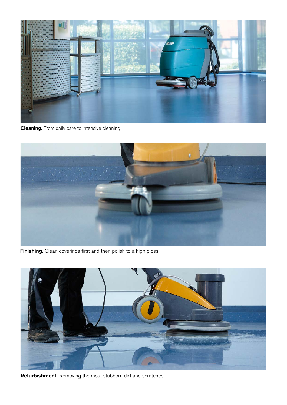

Cleaning. From daily care to intensive cleaning



Finishing. Clean coverings first and then polish to a high gloss



Refurbishment. Removing the most stubborn dirt and scratches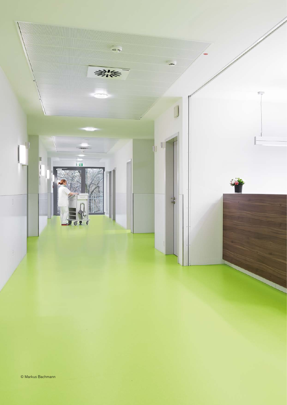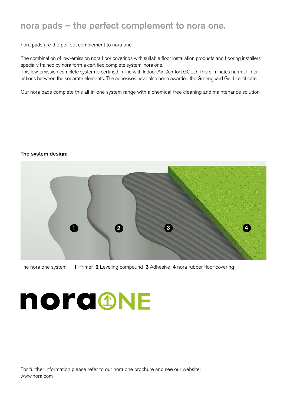## nora pads – the perfect complement to nora one.

nora pads are the perfect complement to nora one.

The combination of low-emission nora floor coverings with suitable floor installation products and flooring installers specially trained by nora form a certified complete system: nora one.

This low-emission complete system is certified in line with Indoor Air Comfort GOLD. This eliminates harmful interactions between the separate elements. The adhesives have also been awarded the Greenguard Gold certificate.

Our nora pads complete this all-in-one system range with a chemical-free cleaning and maintenance solution.

### The system design:



The nora one system  $-1$  Primer 2 Leveling compound 3 Adhesive 4 nora rubber floor covering

# nora@NE

For further information please refer to our nora one brochure and see our website: [www.nora.com](http://www.nora.com)